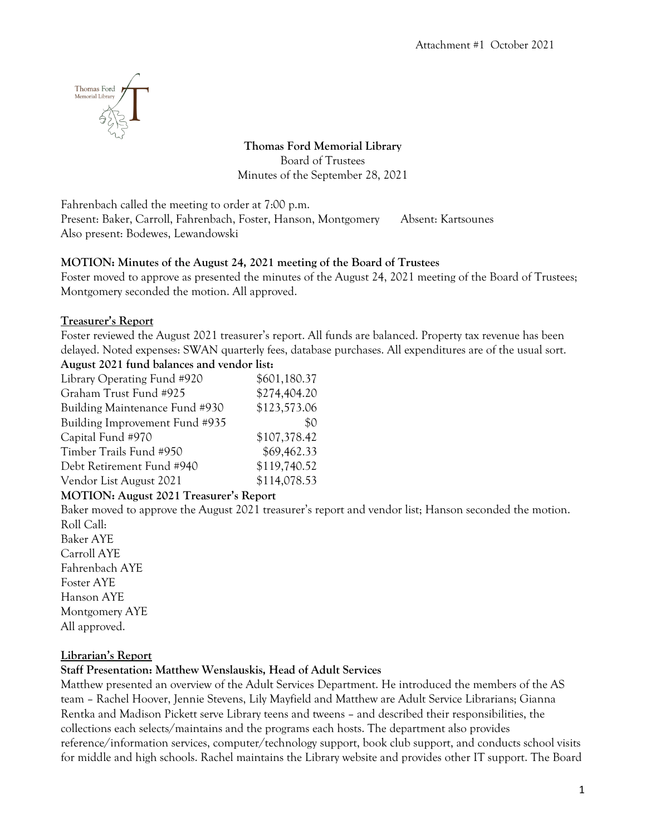

**Thomas Ford Memorial Library** Board of Trustees Minutes of the September 28, 2021

Fahrenbach called the meeting to order at 7:00 p.m. Present: Baker, Carroll, Fahrenbach, Foster, Hanson, Montgomery Absent: Kartsounes Also present: Bodewes, Lewandowski

### **MOTION: Minutes of the August 24, 2021 meeting of the Board of Trustees**

Foster moved to approve as presented the minutes of the August 24, 2021 meeting of the Board of Trustees; Montgomery seconded the motion. All approved.

### **Treasurer's Report**

Foster reviewed the August 2021 treasurer's report. All funds are balanced. Property tax revenue has been delayed. Noted expenses: SWAN quarterly fees, database purchases. All expenditures are of the usual sort. **August 2021 fund balances and vendor list:**

| Axigust 2021 Tunu balances and vendor nsi. |              |
|--------------------------------------------|--------------|
| Library Operating Fund #920                | \$601,180.37 |
| Graham Trust Fund #925                     | \$274,404.20 |
| Building Maintenance Fund #930             | \$123,573.06 |
| Building Improvement Fund #935             | \$0          |
| Capital Fund #970                          | \$107,378.42 |
| Timber Trails Fund #950                    | \$69,462.33  |
| Debt Retirement Fund #940                  | \$119,740.52 |
| Vendor List August 2021                    | \$114,078.53 |

#### **MOTION: August 2021 Treasurer's Report**

Baker moved to approve the August 2021 treasurer's report and vendor list; Hanson seconded the motion. Roll Call: Baker AYE

Carroll AYE Fahrenbach AYE Foster AYE Hanson AYE Montgomery AYE All approved.

# **Librarian's Report**

# **Staff Presentation: Matthew Wenslauskis, Head of Adult Services**

Matthew presented an overview of the Adult Services Department. He introduced the members of the AS team – Rachel Hoover, Jennie Stevens, Lily Mayfield and Matthew are Adult Service Librarians; Gianna Rentka and Madison Pickett serve Library teens and tweens – and described their responsibilities, the collections each selects/maintains and the programs each hosts. The department also provides reference/information services, computer/technology support, book club support, and conducts school visits for middle and high schools. Rachel maintains the Library website and provides other IT support. The Board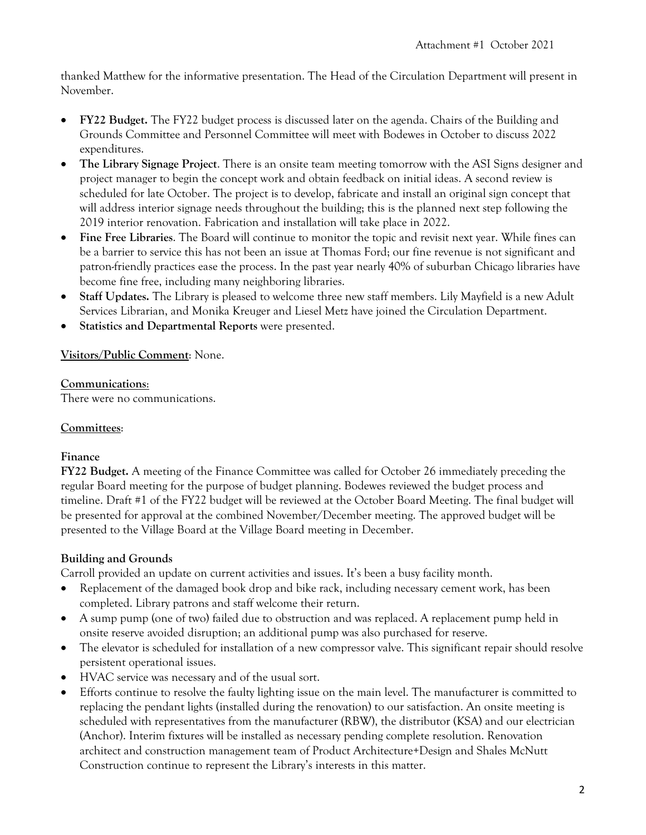thanked Matthew for the informative presentation. The Head of the Circulation Department will present in November.

- **FY22 Budget.** The FY22 budget process is discussed later on the agenda. Chairs of the Building and Grounds Committee and Personnel Committee will meet with Bodewes in October to discuss 2022 expenditures.
- **The Library Signage Project**. There is an onsite team meeting tomorrow with the ASI Signs designer and project manager to begin the concept work and obtain feedback on initial ideas. A second review is scheduled for late October. The project is to develop, fabricate and install an original sign concept that will address interior signage needs throughout the building; this is the planned next step following the 2019 interior renovation. Fabrication and installation will take place in 2022.
- **Fine Free Libraries**. The Board will continue to monitor the topic and revisit next year. While fines can be a barrier to service this has not been an issue at Thomas Ford; our fine revenue is not significant and patron-friendly practices ease the process. In the past year nearly 40% of suburban Chicago libraries have become fine free, including many neighboring libraries.
- **Staff Updates.** The Library is pleased to welcome three new staff members. Lily Mayfield is a new Adult Services Librarian, and Monika Kreuger and Liesel Metz have joined the Circulation Department.
- **Statistics and Departmental Reports** were presented.

#### **Visitors/Public Comment**: None.

#### **Communications**:

There were no communications.

#### **Committees**:

#### **Finance**

**FY22 Budget.** A meeting of the Finance Committee was called for October 26 immediately preceding the regular Board meeting for the purpose of budget planning. Bodewes reviewed the budget process and timeline. Draft #1 of the FY22 budget will be reviewed at the October Board Meeting. The final budget will be presented for approval at the combined November/December meeting. The approved budget will be presented to the Village Board at the Village Board meeting in December.

# **Building and Grounds**

Carroll provided an update on current activities and issues. It's been a busy facility month.

- Replacement of the damaged book drop and bike rack, including necessary cement work, has been completed. Library patrons and staff welcome their return.
- A sump pump (one of two) failed due to obstruction and was replaced. A replacement pump held in onsite reserve avoided disruption; an additional pump was also purchased for reserve.
- The elevator is scheduled for installation of a new compressor valve. This significant repair should resolve persistent operational issues.
- HVAC service was necessary and of the usual sort.
- Efforts continue to resolve the faulty lighting issue on the main level. The manufacturer is committed to replacing the pendant lights (installed during the renovation) to our satisfaction. An onsite meeting is scheduled with representatives from the manufacturer (RBW), the distributor (KSA) and our electrician (Anchor). Interim fixtures will be installed as necessary pending complete resolution. Renovation architect and construction management team of Product Architecture+Design and Shales McNutt Construction continue to represent the Library's interests in this matter.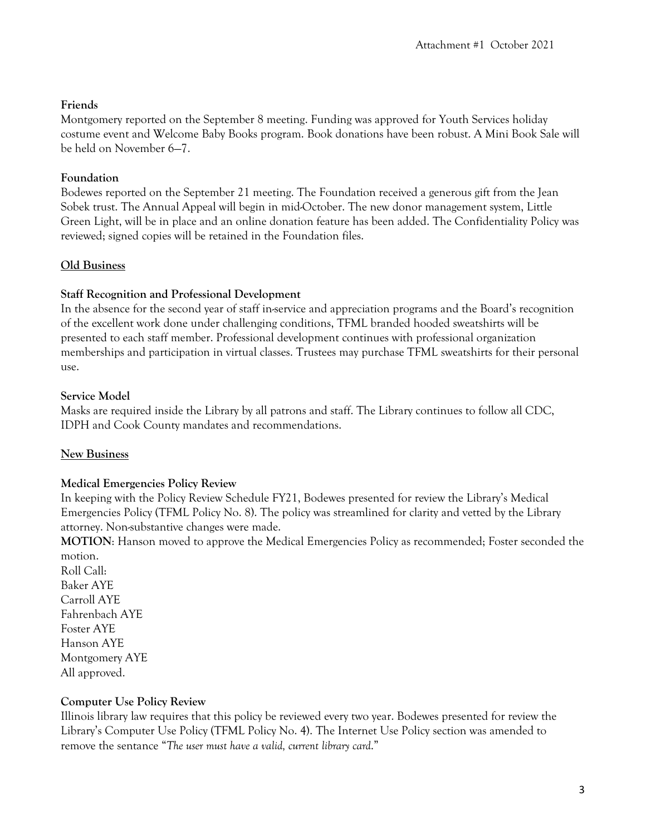### **Friends**

Montgomery reported on the September 8 meeting. Funding was approved for Youth Services holiday costume event and Welcome Baby Books program. Book donations have been robust. A Mini Book Sale will be held on November 6—7.

### **Foundation**

Bodewes reported on the September 21 meeting. The Foundation received a generous gift from the Jean Sobek trust. The Annual Appeal will begin in mid-October. The new donor management system, Little Green Light, will be in place and an online donation feature has been added. The Confidentiality Policy was reviewed; signed copies will be retained in the Foundation files.

# **Old Business**

### **Staff Recognition and Professional Development**

In the absence for the second year of staff in-service and appreciation programs and the Board's recognition of the excellent work done under challenging conditions, TFML branded hooded sweatshirts will be presented to each staff member. Professional development continues with professional organization memberships and participation in virtual classes. Trustees may purchase TFML sweatshirts for their personal use.

### **Service Model**

Masks are required inside the Library by all patrons and staff. The Library continues to follow all CDC, IDPH and Cook County mandates and recommendations.

# **New Business**

#### **Medical Emergencies Policy Review**

In keeping with the Policy Review Schedule FY21, Bodewes presented for review the Library's Medical Emergencies Policy (TFML Policy No. 8). The policy was streamlined for clarity and vetted by the Library attorney. Non-substantive changes were made.

**MOTION**: Hanson moved to approve the Medical Emergencies Policy as recommended; Foster seconded the motion.

Roll Call: Baker AYE Carroll AYE Fahrenbach AYE Foster AYE Hanson AYE Montgomery AYE All approved.

# **Computer Use Policy Review**

Illinois library law requires that this policy be reviewed every two year. Bodewes presented for review the Library's Computer Use Policy (TFML Policy No. 4). The Internet Use Policy section was amended to remove the sentance "*The user must have a valid, current library card*."